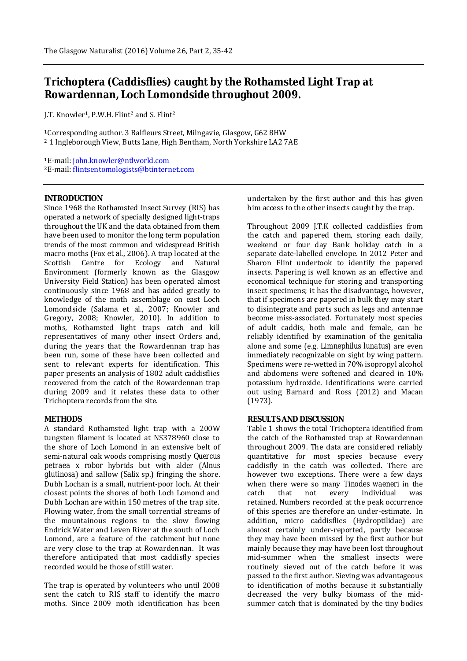# **Trichoptera (Caddisflies) caught by the Rothamsted Light Trap at Rowardennan, Loch Lomondside throughout 2009.**

J.T. Knowler1, P.W.H. Flint<sup>2</sup> and S. Flint<sup>2</sup>

<sup>1</sup>Corresponding author. 3 Balfleurs Street, Milngavie, Glasgow, G62 8HW <sup>2</sup> 1 Ingleborough View, Butts Lane, High Bentham, North Yorkshire LA2 7AE

<sup>1</sup>E-mail: john.knowler@ntlworld.com <sup>2</sup>E-mail: flintsentomologists@btinternet.com

# **INTRODUCTION**

Since 1968 the Rothamsted Insect Survey (RIS) has operated a network of specially designed light-traps throughout the UK and the data obtained from them have been used to monitor the long term population trends of the most common and widespread British macro moths (Fox *et al*., 2006). A trap located at the Scottish Centre for Ecology and Natural Environment (formerly known as the Glasgow University Field Station) has been operated almost continuously since 1968 and has added greatly to knowledge of the moth assemblage on east Loch Lomondside (Salama et al., 2007; Knowler and Gregory, 2008; Knowler, 2010). In addition to moths, Rothamsted light traps catch and kill representatives of many other insect Orders and, during the years that the Rowardennan trap has been run, some of these have been collected and sent to relevant experts for identification. This paper presents an analysis of 1802 adult caddisflies recovered from the catch of the Rowardennan trap during 2009 and it relates these data to other Trichoptera records from the site.

# **METHODS**

A standard Rothamsted light trap with a 200W tungsten filament is located at NS378960 close to the shore of Loch Lomond in an extensive belt of semi-natural oak woods comprising mostly *Quercus petraea x robor* hybrids but with alder (*Alnus glutinosa*) and sallow (*Salix* sp.) fringing the shore. Dubh Lochan is a small, nutrient-poor loch. At their closest points the shores of both Loch Lomond and Dubh Lochan are within 150 metres of the trap site. Flowing water, from the small torrential streams of the mountainous regions to the slow flowing Endrick Water and Leven River at the south of Loch Lomond, are a feature of the catchment but none are very close to the trap at Rowardennan. It was therefore anticipated that most caddisfly species recorded would be those of still water.

The trap is operated by volunteers who until 2008 sent the catch to RIS staff to identify the macro moths. Since 2009 moth identification has been

undertaken by the first author and this has given him access to the other insects caught by the trap.

Throughout 2009 J.T.K collected caddisflies from the catch and papered them, storing each daily, weekend or four day Bank holiday catch in a separate date-labelled envelope. In 2012 Peter and Sharon Flint undertook to identify the papered insects. Papering is well known as an effective and economical technique for storing and transporting insect specimens; it has the disadvantage, however, that if specimens are papered in bulk they may start to disintegrate and parts such as legs and antennae become miss-associated. Fortunately most species of adult caddis, both male and female, can be reliably identified by examination of the genitalia alone and some (e.g. *Limnephilus lunatus*) are even immediately recognizable on sight by wing pattern. Specimens were re-wetted in 70% isopropyl alcohol and abdomens were softened and cleared in 10% potassium hydroxide. Identifications were carried out using Barnard and Ross (2012) and Macan (1973).

# **RESULTS AND DISCUSSION**

Table 1 shows the total Trichoptera identified from the catch of the Rothamsted trap at Rowardennan throughout 2009. The data are considered reliably quantitative for most species because every caddisfly in the catch was collected. There are however two exceptions. There were a few days when there were so many *Tinodes waeneri* in the catch that not every individual was retained. Numbers recorded at the peak occurrence of this species are therefore an under-estimate. In addition, micro caddisflies (Hydroptilidae) are almost certainly under-reported, partly because they may have been missed by the first author but mainly because they may have been lost throughout mid-summer when the smallest insects were routinely sieved out of the catch before it was passed to the first author. Sieving was advantageous to identification of moths because it substantially decreased the very bulky biomass of the midsummer catch that is dominated by the tiny bodies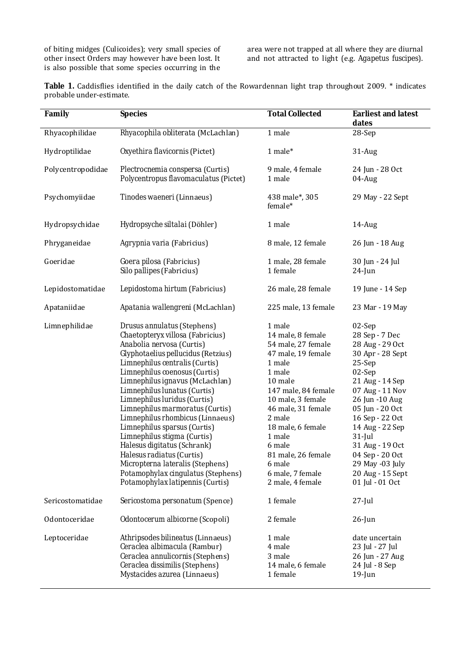of biting midges (Culicoides); very small species of other insect Orders may however have been lost. It is also possible that some species occurring in the area were not trapped at all where they are diurnal and not attracted to light (e.g. *Agapetus fuscipes*).

**Table 1.** Caddisflies identified in the daily catch of the Rowardennan light trap throughout 2009. \* indicates probable under-estimate.

| Family            | <b>Species</b>                                                                                                                                                                                                                                                                                                                                                                                                                                                                                                                                                                                                                         | <b>Total Collected</b>                                                                                                                                                                                                                                                                              | <b>Earliest and latest</b><br>dates                                                                                                                                                                                                                                                                               |  |
|-------------------|----------------------------------------------------------------------------------------------------------------------------------------------------------------------------------------------------------------------------------------------------------------------------------------------------------------------------------------------------------------------------------------------------------------------------------------------------------------------------------------------------------------------------------------------------------------------------------------------------------------------------------------|-----------------------------------------------------------------------------------------------------------------------------------------------------------------------------------------------------------------------------------------------------------------------------------------------------|-------------------------------------------------------------------------------------------------------------------------------------------------------------------------------------------------------------------------------------------------------------------------------------------------------------------|--|
| Rhyacophilidae    | Rhyacophila obliterata (McLachlan)                                                                                                                                                                                                                                                                                                                                                                                                                                                                                                                                                                                                     | 1 male                                                                                                                                                                                                                                                                                              | 28-Sep                                                                                                                                                                                                                                                                                                            |  |
| Hydroptilidae     | Oxyethira flavicornis (Pictet)                                                                                                                                                                                                                                                                                                                                                                                                                                                                                                                                                                                                         | 1 male*                                                                                                                                                                                                                                                                                             | $31$ -Aug                                                                                                                                                                                                                                                                                                         |  |
| Polycentropodidae | Plectrocnemia conspersa (Curtis)<br>Polycentropus flavomaculatus (Pictet)                                                                                                                                                                                                                                                                                                                                                                                                                                                                                                                                                              | 9 male, 4 female<br>1 male                                                                                                                                                                                                                                                                          | 24 Jun - 28 Oct<br>$04$ -Aug                                                                                                                                                                                                                                                                                      |  |
| Psychomyiidae     | Tinodes waeneri (Linnaeus)                                                                                                                                                                                                                                                                                                                                                                                                                                                                                                                                                                                                             | 438 male*, 305<br>female*                                                                                                                                                                                                                                                                           | 29 May - 22 Sept                                                                                                                                                                                                                                                                                                  |  |
| Hydropsychidae    | Hydropsyche siltalai (Döhler)                                                                                                                                                                                                                                                                                                                                                                                                                                                                                                                                                                                                          | 1 male                                                                                                                                                                                                                                                                                              | $14$ -Aug                                                                                                                                                                                                                                                                                                         |  |
| Phryganeidae      | Agrypnia varia (Fabricius)                                                                                                                                                                                                                                                                                                                                                                                                                                                                                                                                                                                                             | 8 male, 12 female                                                                                                                                                                                                                                                                                   | 26 Jun - 18 Aug                                                                                                                                                                                                                                                                                                   |  |
| Goeridae          | Goera pilosa (Fabricius)<br>Silo pallipes (Fabricius)                                                                                                                                                                                                                                                                                                                                                                                                                                                                                                                                                                                  | 1 male, 28 female<br>1 female                                                                                                                                                                                                                                                                       | 30 Jun - 24 Jul<br>$24$ -Jun                                                                                                                                                                                                                                                                                      |  |
| Lepidostomatidae  | Lepidostoma hirtum (Fabricius)                                                                                                                                                                                                                                                                                                                                                                                                                                                                                                                                                                                                         | 26 male, 28 female                                                                                                                                                                                                                                                                                  | 19 June - 14 Sep                                                                                                                                                                                                                                                                                                  |  |
| Apataniidae       | Apatania wallengreni (McLachlan)                                                                                                                                                                                                                                                                                                                                                                                                                                                                                                                                                                                                       | 225 male, 13 female                                                                                                                                                                                                                                                                                 | 23 Mar - 19 May                                                                                                                                                                                                                                                                                                   |  |
| Limnephilidae     | <b>Drusus annulatus</b> (Stephens)<br>Chaetopteryx villosa (Fabricius)<br>Anabolia nervosa (Curtis)<br>Glyphotaelius pellucidus (Retzius)<br>Limnephilus centralis (Curtis)<br>Limnephilus coenosus (Curtis)<br>Limnephilus ignavus (McLachlan)<br>Limnephilus lunatus (Curtis)<br>Limnephilus luridus (Curtis)<br>Limnephilus marmoratus (Curtis)<br>Limnephilus rhombicus (Linnaeus)<br>Limnephilus sparsus (Curtis)<br>Limnephilus stigma (Curtis)<br>Halesus digitatus (Schrank)<br><i>Halesus radiatus</i> (Curtis)<br>Micropterna lateralis (Stephens)<br>Potamophylax cingulatus (Stephens)<br>Potamophylax latipennis (Curtis) | 1 male<br>14 male, 8 female<br>54 male, 27 female<br>47 male, 19 female<br>1 male<br>1 male<br>10 male<br>147 male, 84 female<br>10 male, 3 female<br>46 male, 31 female<br>2 male<br>18 male, 6 female<br>1 male<br>6 male<br>81 male, 26 female<br>6 male<br>6 male, 7 female<br>2 male, 4 female | 02-Sep<br>28 Sep - 7 Dec<br>28 Aug - 29 Oct<br>30 Apr - 28 Sept<br>25-Sep<br>02-Sep<br>21 Aug - 14 Sep<br>07 Aug - 11 Nov<br>26 Jun -10 Aug<br>05 Jun - 20 Oct<br>16 Sep - 22 Oct<br>14 Aug - 22 Sep<br>$31$ -Jul<br>31 Aug - 19 Oct<br>04 Sep - 20 Oct<br>29 May -03 July<br>20 Aug - 15 Sept<br>01 Jul - 01 Oct |  |
| Sericostomatidae  | Sericostoma personatum (Spence)                                                                                                                                                                                                                                                                                                                                                                                                                                                                                                                                                                                                        | 1 female                                                                                                                                                                                                                                                                                            | $27$ -Jul                                                                                                                                                                                                                                                                                                         |  |
| Odontoceridae     | Odontocerum albicorne (Scopoli)                                                                                                                                                                                                                                                                                                                                                                                                                                                                                                                                                                                                        | 2 female                                                                                                                                                                                                                                                                                            | $26$ -Jun                                                                                                                                                                                                                                                                                                         |  |
| Leptoceridae      | Athripsodes bilineatus (Linnaeus)<br>Ceraclea albimacula (Rambur)<br>Ceraclea annulicornis (Stephens)<br>Ceraclea dissimilis (Stephens)<br>Mystacides azurea (Linnaeus)                                                                                                                                                                                                                                                                                                                                                                                                                                                                | 1 male<br>4 male<br>3 male<br>14 male, 6 female<br>1 female                                                                                                                                                                                                                                         | date uncertain<br>23 Jul - 27 Jul<br>26 Jun - 27 Aug<br>24 Jul - 8 Sep<br>$19$ -Jun                                                                                                                                                                                                                               |  |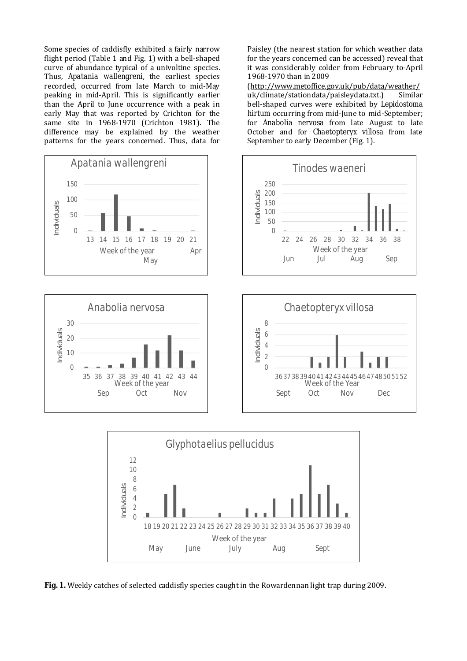Some species of caddisfly exhibited a fairly narrow flight period (Table 1 and Fig. 1) with a bell-shaped curve of abundance typical of a univoltine species. Thus, *Apatania wallengreni,* the earliest species recorded, occurred from late March to mid-May peaking in mid-April. This is significantly earlier than the April to June occurrence with a peak in early May that was reported by Crichton for the same site in 1968-1970 (Crichton 1981). The difference may be explained by the weather patterns for the years concerned. Thus, data for





Paisley (the nearest station for which weather data for the years concerned can be accessed) reveal that it was considerably colder from February to-April 1968-1970 than in 2009

(http://www.metoffice.gov.uk/pub/data/weather/ uk/climate/stationdata/paisleydata.txt.) Similar bell-shaped curves were exhibited by *Lepidostoma hirtum* occurring from mid-June to mid-September; for *Anabolia nervosa* from late August to late October and for *Chaetopteryx villosa* from late September to early December (Fig. 1).







**Fig. 1.** Weekly catches of selected caddisfly species caught in the Rowardennan light trap during 2009.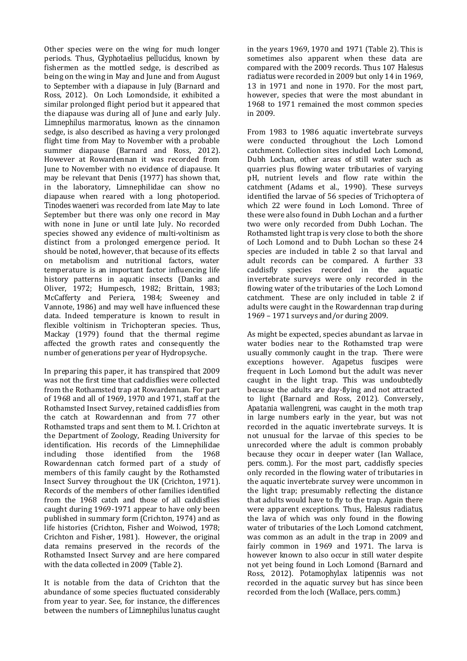Other species were on the wing for much longer periods. Thus, *Glyphotaelius pellucidus*, known by fishermen as the mottled sedge, is described as being on the wing in May and June and from August to September with a diapause in July (Barnard and Ross, 2012). On Loch Lomondside, it exhibited a similar prolonged flight period but it appeared that the diapause was during all of June and early July. *Limnephilus marmoratus*, known as the cinnamon sedge, is also described as having a very prolonged flight time from May to November with a probable summer diapause (Barnard and Ross, 2012). However at Rowardennan it was recorded from June to November with no evidence of diapause. It may be relevant that Denis (1977) has shown that, in the laboratory, Limnephilidae can show no diapause when reared with a long photoperiod. *Tinodes waeneri* was recorded from late May to late September but there was only one record in May with none in June or until late July. No recorded species showed any evidence of multi-voltinism as distinct from a prolonged emergence period. It should be noted, however, that because of its effects on metabolism and nutritional factors, water temperature is an important factor influencing life history patterns in aquatic insects (Danks and Oliver, 1972; Humpesch, 1982; Brittain, 1983; McCafferty and Periera, 1984; Sweeney and Vannote, 1986) and may well have influenced these data. Indeed temperature is known to result in flexible voltinism in Trichopteran species. Thus, Mackay (1979) found that the thermal regime affected the growth rates and consequently the number of generations per year of Hydropsyche.

In preparing this paper, it has transpired that 2009 was not the first time that caddisflies were collected from the Rothamsted trap at Rowardennan. For part of 1968 and all of 1969, 1970 and 1971, staff at the Rothamsted Insect Survey, retained caddisflies from the catch at Rowardennan and from 77 other Rothamsted traps and sent them to M. I. Crichton at the Department of Zoology, Reading University for identification. His records of the Limnephilidae including those identified from the 1968 Rowardennan catch formed part of a study of members of this family caught by the Rothamsted Insect Survey throughout the UK (Crichton, 1971). Records of the members of other families identified from the 1968 catch and those of all caddisflies caught during 1969-1971 appear to have only been published in summary form (Crichton, 1974) and as life histories (Crichton, Fisher and Woiwod, 1978; Crichton and Fisher, 1981). However, the original data remains preserved in the records of the Rothamsted Insect Survey and are here compared with the data collected in 2009 (Table 2).

It is notable from the data of Crichton that the abundance of some species fluctuated considerably from year to year. See, for instance, the differences between the numbers of *Limnephilus lunatus* caught

in the years 1969, 1970 and 1971 (Table 2). This is sometimes also apparent when these data are compared with the 2009 records. Thus 107 *Halesus radiatus* were recorded in 2009 but only 14 in 1969, 13 in 1971 and none in 1970. For the most part, however, species that were the most abundant in 1968 to 1971 remained the most common species in 2009.

From 1983 to 1986 aquatic invertebrate surveys were conducted throughout the Loch Lomond catchment. Collection sites included Loch Lomond, Dubh Lochan, other areas of still water such as quarries plus flowing water tributaries of varying pH, nutrient levels and flow rate within the catchment (Adams et al., 1990). These surveys identified the larvae of 56 species of Trichoptera of which 22 were found in Loch Lomond. Three of these were also found in Dubh Lochan and a further two were only recorded from Dubh Lochan. The Rothamsted light trap is very close to both the shore of Loch Lomond and to Dubh Lochan so these 24 species are included in table 2 so that larval and adult records can be compared. A further 33 caddisfly species recorded in the aquatic invertebrate surveys were only recorded in the flowing water of the tributaries of the Loch Lomond catchment. These are only included in table 2 if adults were caught in the Rowardennan trap during 1969 – 1971 surveys and/or during 2009.

As might be expected, species abundant as larvae in water bodies near to the Rothamsted trap were usually commonly caught in the trap. There were exceptions however. *Agapetus fuscipes* were frequent in Loch Lomond but the adult was never caught in the light trap. This was undoubtedly because the adults are day-flying and not attracted to light (Barnard and Ross, 2012). Conversely, *Apatania wallengreni*, was caught in the moth trap in large numbers early in the year, but was not recorded in the aquatic invertebrate surveys. It is not unusual for the larvae of this species to be unrecorded where the adult is common probably because they occur in deeper water (Ian Wallace, *pers. comm*.). For the most part, caddisfly species only recorded in the flowing water of tributaries in the aquatic invertebrate survey were uncommon in the light trap; presumably reflecting the distance that adults would have to fly to the trap. Again there were apparent exceptions. Thus, *Halesus radiatus*, the lava of which was only found in the flowing water of tributaries of the Loch Lomond catchment, was common as an adult in the trap in 2009 and fairly common in 1969 and 1971. The larva is however known to also occur in still water despite not yet being found in Loch Lomond (Barnard and Ross, 2012). *Potamophylax latipennis* was not recorded in the aquatic survey but has since been recorded from the loch (Wallace, *pers. comm*.)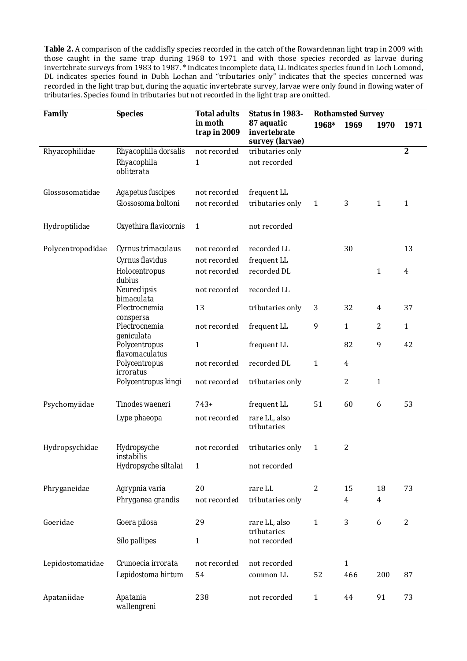**Table 2.** A comparison of the caddisfly species recorded in the catch of the Rowardennan light trap in 2009 with those caught in the same trap during 1968 to 1971 and with those species recorded as larvae during invertebrate surveys from 1983 to 1987. \* indicates incomplete data, LL indicates species found in Loch Lomond, DL indicates species found in Dubh Lochan and "tributaries only" indicates that the species concerned was recorded in the light trap but, during the aquatic invertebrate survey, larvae were only found in flowing water of tributaries. Species found in tributaries but not recorded in the light trap are omitted.

| Family            | <b>Species</b>                                                   | <b>Total adults</b>                          | Status in 1983-                               | <b>Rothamsted Survey</b> |              |                |                  |
|-------------------|------------------------------------------------------------------|----------------------------------------------|-----------------------------------------------|--------------------------|--------------|----------------|------------------|
|                   |                                                                  | in moth<br>trap in 2009                      | 87 aquatic<br>invertebrate<br>survey (larvae) | 1968*                    | 1969         | 1970           | 1971             |
| Rhyacophilidae    | Rhyacophila dorsalis<br>Rhyacophila<br>obliterata                | not recorded<br>1                            | tributaries only<br>not recorded              |                          |              |                | $\boldsymbol{2}$ |
| Glossosomatidae   | <b>Agapetus fuscipes</b><br>Glossosoma boltoni                   | not recorded<br>not recorded                 | frequent LL<br>tributaries only               | $\mathbf{1}$             | 3            | $\mathbf{1}$   | $\mathbf{1}$     |
| Hydroptilidae     | Oxyethira flavicornis                                            | $\mathbf{1}$                                 | not recorded                                  |                          |              |                |                  |
| Polycentropodidae | Cyrnus trimaculaus<br>Cyrnus flavidus<br>Holocentropus<br>dubius | not recorded<br>not recorded<br>not recorded | recorded LL<br>frequent LL<br>recorded DL     |                          | 30           | 1              | 13<br>4          |
|                   | <b>Neureclipsis</b><br>bimaculata<br>Plectrocnemia               | not recorded<br>13                           | recorded LL<br>tributaries only               | 3                        | 32           | $\overline{4}$ | 37               |
|                   | conspersa<br>Plectrocnemia<br>geniculata                         | not recorded                                 | frequent LL                                   | 9                        | $\mathbf{1}$ | 2              | $\mathbf{1}$     |
|                   | <b>Polycentropus</b><br>flavomaculatus                           | $\mathbf{1}$                                 | frequent LL                                   |                          | 82           | 9              | 42               |
|                   | <b>Polycentropus</b><br><i>irroratus</i><br>Polycentropus kingi  | not recorded<br>not recorded                 | recorded DL<br>tributaries only               | $\mathbf{1}$             | 4<br>2       | $\mathbf{1}$   |                  |
|                   |                                                                  |                                              |                                               |                          |              |                |                  |
| Psychomyiidae     | Tinodes waeneri<br>Lype phaeopa                                  | $743+$<br>not recorded                       | frequent LL<br>rare LL, also<br>tributaries   | 51                       | 60           | 6              | 53               |
| Hydropsychidae    | Hydropsyche<br>instabilis                                        | not recorded                                 | tributaries only                              | $\mathbf{1}$             | 2            |                |                  |
|                   | Hydropsyche siltalai                                             | 1                                            | not recorded                                  |                          |              |                |                  |
| Phryganeidae      | Agrypnia varia<br>Phryganea grandis                              | 20<br>not recorded                           | rare LL<br>tributaries only                   | $\overline{2}$           | 15<br>4      | 18<br>4        | 73               |
| Goeridae          | Goera pilosa<br><b>Silo pallipes</b>                             | 29<br>$\mathbf{1}$                           | rare LL, also<br>tributaries<br>not recorded  | $\mathbf{1}$             | 3            | 6              | $\overline{2}$   |
| Lepidostomatidae  | Crunoecia irrorata<br>Lepidostoma hirtum                         | not recorded<br>54                           | not recorded<br>common LL                     | 52                       | 1<br>466     | 200            | 87               |
| Apataniidae       | <b>Apatania</b><br>wallengreni                                   | 238                                          | not recorded                                  | $\mathbf{1}$             | 44           | 91             | 73               |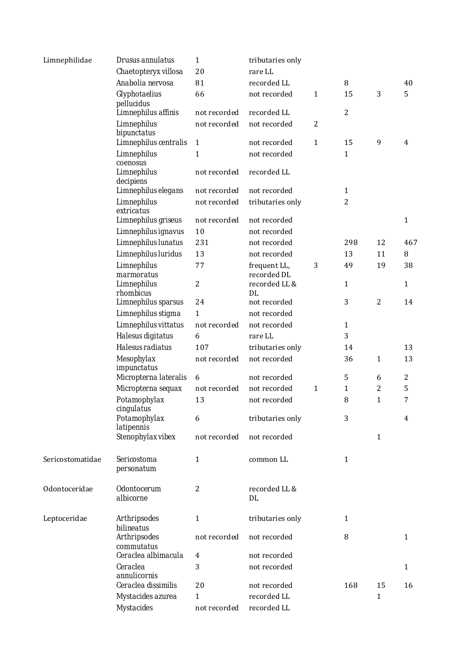| Limnephilidae    | Drusus annulatus                         | 1              | tributaries only            |                |                |                |                  |
|------------------|------------------------------------------|----------------|-----------------------------|----------------|----------------|----------------|------------------|
|                  | Chaetopteryx villosa                     | 20             | rare LL                     |                |                |                |                  |
|                  | Anabolia nervosa                         | 81             | recorded LL                 |                | 8              |                | 40               |
|                  | Glyphotaelius<br>pellucidus              | 66             | not recorded                | $\mathbf{1}$   | 15             | 3              | 5                |
|                  | Limnephilus affinis                      | not recorded   | recorded LL                 |                | $\overline{2}$ |                |                  |
|                  | <b>Limnephilus</b><br>bipunctatus        | not recorded   | not recorded                | $\overline{2}$ |                |                |                  |
|                  | Limnephilus centralis                    | $\mathbf{1}$   | not recorded                | $\mathbf{1}$   | 15             | 9              | 4                |
|                  | <b>Limnephilus</b><br>coenosus           | $\mathbf{1}$   | not recorded                |                | 1              |                |                  |
|                  | <b>Limnephilus</b><br>decipiens          | not recorded   | recorded LL                 |                |                |                |                  |
|                  | Limnephilus elegans                      | not recorded   | not recorded                |                | 1              |                |                  |
|                  | <b>Limnephilus</b><br>extricatus         | not recorded   | tributaries only            |                | 2              |                |                  |
|                  | Limnephilus griseus                      | not recorded   | not recorded                |                |                |                | $\mathbf{1}$     |
|                  | Limnephilus ignavus                      | 10             | not recorded                |                |                |                |                  |
|                  | Limnephilus lunatus                      | 231            | not recorded                |                | 298            | 12             | 467              |
|                  | Limnephilus luridus                      | 13             | not recorded                |                | 13             | 11             | 8                |
|                  | <b>Limnephilus</b><br>marmoratus         | 77             | frequent LL,<br>recorded DL | 3              | 49             | 19             | 38               |
|                  | <b>Limnephilus</b><br>rhombicus          | $\overline{2}$ | recorded LL &<br>DL         |                | 1              |                | $\mathbf{1}$     |
|                  | Limnephilus sparsus                      | 24             | not recorded                |                | 3              | $\overline{2}$ | 14               |
|                  | Limnephilus stigma                       | 1              | not recorded                |                |                |                |                  |
|                  | Limnephilus vittatus                     | not recorded   | not recorded                |                | 1              |                |                  |
|                  | Halesus digitatus                        | 6              | rare LL                     |                | 3              |                |                  |
|                  | Halesus radiatus                         | 107            | tributaries only            |                | 14             |                | 13               |
|                  | <b>Mesophylax</b><br>impunctatus         | not recorded   | not recorded                |                | 36             | 1              | 13               |
|                  | Micropterna lateralis                    | 6              | not recorded                |                | 5              | 6              | $\boldsymbol{2}$ |
|                  | Micropterna sequax                       | not recorded   | not recorded                | $\mathbf{1}$   | 1              | $\overline{c}$ | 5                |
|                  | Potamophylax<br>cingulatus               | 13             | not recorded                |                | 8              | 1              | 7                |
|                  | Potamophylax<br><b>latipennis</b>        | 6              | tributaries only            |                | 3              |                | 4                |
|                  | Stenophylax vibex                        | not recorded   | not recorded                |                |                | $\mathbf{1}$   |                  |
| Sericostomatidae | Sericostoma<br>personatum                | 1              | common LL                   |                | 1              |                |                  |
| Odontoceridae    | <b>Odontocerum</b><br>albicorne          | $\overline{2}$ | recorded LL &<br>DL         |                |                |                |                  |
| Leptoceridae     | <b>Arthripsodes</b><br><b>bilineatus</b> | 1              | tributaries only            |                | 1              |                |                  |
|                  | <b>Arthripsodes</b><br>commutatus        | not recorded   | not recorded                |                | 8              |                | $\mathbf{1}$     |
|                  | Ceraclea albimacula                      | 4              | not recorded                |                |                |                |                  |
|                  | Ceraclea<br>annulicornis                 | 3              | not recorded                |                |                |                | $\mathbf{1}$     |
|                  | Ceraclea dissimilis                      | 20             | not recorded                |                | 168            | 15             | 16               |
|                  | Mystacides azurea                        | $\mathbf{1}$   | recorded LL                 |                |                | $\mathbf 1$    |                  |
|                  | <b>Mystacides</b>                        | not recorded   | recorded LL                 |                |                |                |                  |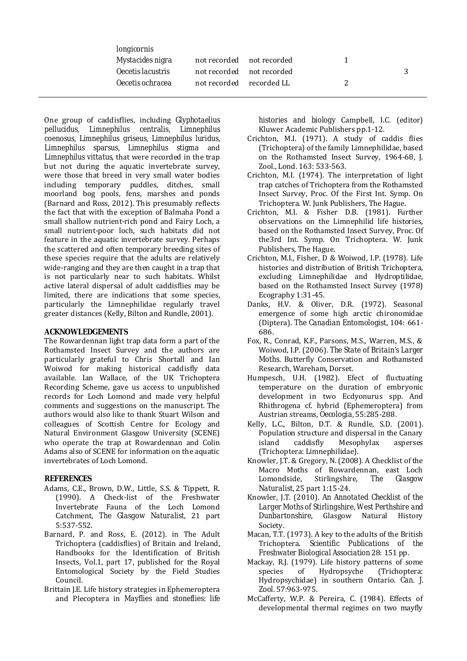| longicornis                     |                          |                           |   |
|---------------------------------|--------------------------|---------------------------|---|
| Mystacides nigra                |                          | not recorded not recorded |   |
| <i><b>Oecetis lacustris</b></i> |                          | not recorded not recorded | 2 |
| Oecetis ochracea                | not recorded recorded LL |                           |   |
|                                 |                          |                           |   |

One group of caddisflies, including *Glyphotaelius pellucidus, Limnephilus centralis, Limnephilus coenosus, Limnephilus griseus, Limnephilus luridus, Limnephilus sparsus, Limnephilus stigma* and *Limnephilus vittatus*, that were recorded in the trap but not during the aquatic invertebrate survey, were those that breed in very small water bodies including temporary puddles, ditches, small moorland bog pools, fens, marshes and ponds (Barnard and Ross, 2012). This presumably reflects the fact that with the exception of Balmaha Pond a small shallow nutrient-rich pond and Fairy Loch, a small nutrient-poor loch, such habitats did not feature in the aquatic invertebrate survey. Perhaps the scattered and often temporary breeding sites of these species require that the adults are relatively wide-ranging and they are then caught in a trap that is not particularly near to such habitats. Whilst active lateral dispersal of adult caddisflies may be limited, there are indications that some species, particularly the Limnephilidae regularly travel greater distances (Kelly, Bilton and Rundle, 2001).

# **ACKNOWLEDGEMENTS**

The Rowardennan light trap data form a part of the Rothamsted Insect Survey and the authors are particularly grateful to Chris Shortall and Ian Woiwod for making historical caddisfly data available. Ian Wallace, of the UK Trichoptera Recording Scheme, gave us access to unpublished records for Loch Lomond and made very helpful comments and suggestions on the manuscript. The authors would also like to thank Stuart Wilson and colleagues of Scottish Centre for Ecology and Natural Environment Glasgow University (SCENE) who operate the trap at Rowardennan and Colin Adams also of SCENE for information on the aquatic invertebrates of Loch Lomond.

# **REFERENCES**

- Adams, C.E., Brown, D.W., Little, S.S. & Tippett, R. (1990). A Check-list of the Freshwater Invertebrate Fauna of the Loch Lomond Catchment, *The Glasgow Naturalist*, 21 part 5:537-552.
- Barnard, P. and Ross, E. (2012). in The Adult Trichoptera (caddisflies) of Britain and Ireland, Handbooks for the Identification of British Insects, Vol.1, part 17, published for the Royal Entomological Society by the Field Studies Council.
- Brittain J.E. Life history strategies in Ephemeroptera and Plecoptera in *Mayflies and stoneflies: life*

*histories and biology* Campbell, I.C. (editor) Kluwer Academic Publishers pp.1-12.

- Crichton, M.I. (1971). A study of caddis flies (Trichoptera) of the family Limnephilidae, based on the Rothamsted Insect Survey, 1964-68, J. Zool., Lond. 163: 533-563.
- Crichton, M.I. (1974). The interpretation of light trap catches of Trichoptera from the Rothamsted Insect Survey, Proc. Of the First Int. Symp. On Trichoptera. W. Junk Publishers, The Hague.
- Crichton, M.I. & Fisher D.B. (1981). Further observations on the Limnephilid life histories, based on the Rothamsted Insect Survey, Proc. Of the3rd Int. Symp. On Trichoptera. W. Junk Publishers, The Hague.
- Crichton, M.I., Fisher, D & Woiwod, I.P. (1978). Life histories and distribution of British Trichoptera, excluding Limnephilidae and Hydroptilidae, based on the Rothamsted Insect Survey (1978) Ecography 1:31-45.
- Danks, H.V. & Oliver, D.R. (1972). Seasonal emergence of some high arctic chironomidae (Diptera). *The Canadian Entomologist,* 104: 661- 686.
- Fox, R., Conrad, K.F., Parsons, M.S., Warren, M.S., & Woiwod, I.P. (2006)*. The State of Britain's Larger Moths.* Butterfly Conservation and Rothamsted Research, Wareham, Dorset.
- Humpesch, U.H. (1982). Efect of fluctuating temperature on the duration of embryonic development in two Ecdyonurus spp. And Rhithrogena cf. hybrid (Ephemeroptera) from Austrian streams, *Oecologia,* 55:285-288.
- Kelly, L.C., Bilton, D.T. & Rundle, S.D. (2001). Population structure and dispersal in the Canary island caddisfly Mesophylax asperses (Trichoptera: Limnephilidae).
- Knowler, J.T. & Gregory, N. (2008). A Checklist of the Macro Moths of Rowardennan, east Loch Lomondside, Stirlingshire, *The Glasgow Naturalist*, 25 part 1:15-24.
- Knowler, J.T. (2010). *An Annotated Checklist of the Larger Moths of Stirlingshire, West Perthshire and Dunbartonshire*, Glasgow Natural History Society.
- Macan, T.T. (1973). A key to the adults of the British Trichoptera. *Scientific Publications of the Freshwater Biological Association* 28: 151 pp.
- Mackay, R.J. (1979). Life history patterns of some species of Hydropsyche (Trichoptera: Hydropsychidae) in southern Ontario. *Can. J. Zool.* 57:963-975.
- McCafferty, W.P. & Pereira, C. (1984). Effects of developmental thermal regimes on two mayfly